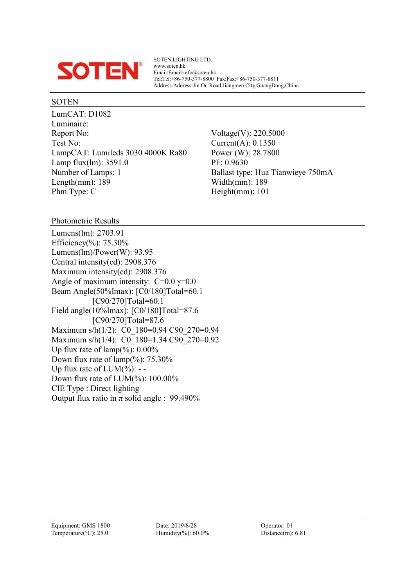

SOTEN LIGHTING LTD. www.soten.hk Email:Email:info@soten.hk Tel:Tel:+86-750-377-8800 Fax:Fax:+86-750-377-8811 Address:Address:Jin Ou Road,Jiangmen City,GuangDong,China

#### SOTEN

LumCAT: D1082 Luminaire: Report No: Voltage(V): 220.5000 Test No: Current(A): 0.1350 LampCAT: Lumileds 3030 4000K Ra80 Power (W): 28.7800 Lamp flux(lm): 3591.0 PF: 0.9630 Number of Lamps: 1 Ballast type: Hua Tianwieye 750mA Length(mm): 189 Width(mm): 189 Phm Type: C Height(mm): 101

Photometric Results

Lumens(lm): 2703.91 Efficiency(%): 75.30% Lumens(lm)/Power(W): 93.95 Central intensity(cd): 2908.376 Maximum intensity(cd): 2908.376 Angle of maximum intensity:  $C=0.0$   $\gamma=0.0$ Beam Angle(50%Imax): [C0/180]Total=60.1 [C90/270]Total=60.1 Field angle(10%Imax): [C0/180]Total=87.6 [C90/270]Total=87.6 Maximum s/h(1/2): C0 180=0.94 C90 270=0.94 Maximum s/h(1/4): C0\_180=1.34 C90\_270=0.92 Up flux rate of  $\text{lamp}(\%): 0.00\%$ Down flux rate of  $\text{lamp}(\%): 75.30\%$ Up flux rate of  $LUM(\%)$ : --Down flux rate of LUM(%): 100.00% CIE Type : Direct lighting Output flux ratio in  $\pi$  solid angle : 99.490%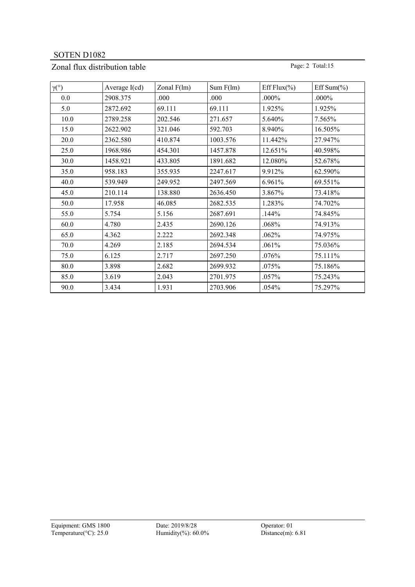# Zonal flux distribution table Page: 2 Total:15

| $\gamma$ <sup>(°)</sup> | Average $I(cd)$ | Zonal $F(lm)$ | Sum F(lm) | Eff Flux $(\% )$ | Eff Sum $(\% )$ |
|-------------------------|-----------------|---------------|-----------|------------------|-----------------|
| 0.0                     | 2908.375        | .000          | .000      | .000%            | .000%           |
| 5.0                     | 2872.692        | 69.111        | 69.111    | 1.925%           | 1.925%          |
| 10.0                    | 2789.258        | 202.546       | 271.657   | 5.640%           | 7.565%          |
| 15.0                    | 2622.902        | 321.046       | 592.703   | 8.940%           | 16.505%         |
| 20.0                    | 2362.580        | 410.874       | 1003.576  | 11.442%          | 27.947%         |
| 25.0                    | 1968.986        | 454.301       | 1457.878  | 12.651%          | 40.598%         |
| 30.0                    | 1458.921        | 433.805       | 1891.682  | 12.080%          | 52.678%         |
| 35.0                    | 958.183         | 355.935       | 2247.617  | 9.912%           | 62.590%         |
| 40.0                    | 539.949         | 249.952       | 2497.569  | 6.961%           | 69.551%         |
| 45.0                    | 210.114         | 138.880       | 2636.450  | 3.867%           | 73.418%         |
| 50.0                    | 17.958          | 46.085        | 2682.535  | 1.283%           | 74.702%         |
| 55.0                    | 5.754           | 5.156         | 2687.691  | .144%            | 74.845%         |
| 60.0                    | 4.780           | 2.435         | 2690.126  | .068%            | 74.913%         |
| 65.0                    | 4.362           | 2.222         | 2692.348  | .062%            | 74.975%         |
| 70.0                    | 4.269           | 2.185         | 2694.534  | .061%            | 75.036%         |
| 75.0                    | 6.125           | 2.717         | 2697.250  | .076%            | 75.111%         |
| 80.0                    | 3.898           | 2.682         | 2699.932  | .075%            | 75.186%         |
| 85.0                    | 3.619           | 2.043         | 2701.975  | .057%            | 75.243%         |
| 90.0                    | 3.434           | 1.931         | 2703.906  | .054%            | 75.297%         |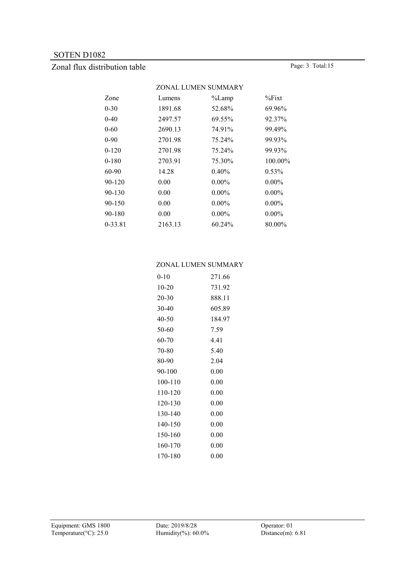# Zonal flux distribution table Page: 3 Total:15

|           | ZONAL LUMEN SUMMARY |           |           |  |  |  |  |
|-----------|---------------------|-----------|-----------|--|--|--|--|
| Zone      | Lumens              | $\%$ Lamp | $\%$ Fixt |  |  |  |  |
| $0 - 30$  | 1891.68             | 52.68%    | 69.96%    |  |  |  |  |
| $0-40$    | 2497.57             | 69.55%    | 92.37%    |  |  |  |  |
| 0-60      | 2690.13             | 74.91%    | 99.49%    |  |  |  |  |
| $0 - 90$  | 2701.98             | 75.24%    | 99.93%    |  |  |  |  |
| $0 - 120$ | 2701.98             | 75.24%    | 99.93%    |  |  |  |  |
| $0 - 180$ | 2703.91             | 75.30%    | 100.00%   |  |  |  |  |
| 60-90     | 14.28               | 0.40%     | $0.53\%$  |  |  |  |  |
| 90-120    | 0.00                | $0.00\%$  | $0.00\%$  |  |  |  |  |
| 90-130    | 0.00                | $0.00\%$  | $0.00\%$  |  |  |  |  |
| 90-150    | 0.00                | $0.00\%$  | $0.00\%$  |  |  |  |  |
| 90-180    | 0.00                | $0.00\%$  | $0.00\%$  |  |  |  |  |
| 0-33.81   | 2163.13             | 60.24%    | 80.00%    |  |  |  |  |
|           |                     |           |           |  |  |  |  |

#### ZONAL LUMEN SUMMARY

| $0 - 10$ | 271.66   |
|----------|----------|
| 10-20    | 731.92   |
| 20-30    | 888.11   |
| 30-40    | 605.89   |
| 40-50    | 184.97   |
| 50-60    | 7.59     |
| 60-70    | 4.41     |
| 70-80    | 5.40     |
| 80-90    | 2.04     |
| 90-100   | 0.00     |
| 100-110  | 0.00     |
| 110-120  | 0.00     |
| 120-130  | 0.00     |
| 130-140  | 0.00     |
| 140-150  | 0.00     |
| 150-160  | 0.00     |
| 160-170  | 0.00     |
| 170-180  | $0.00\,$ |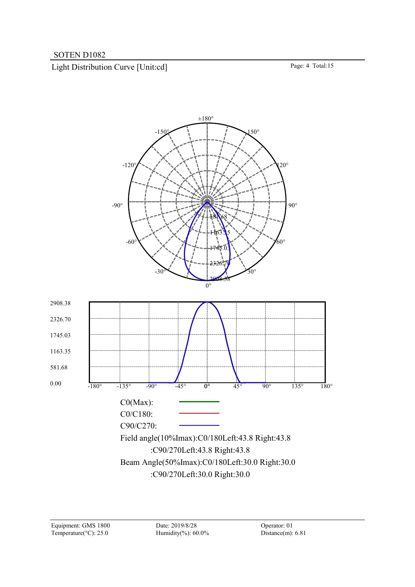Light Distribution Curve [Unit:cd] Page: 4 Total:15

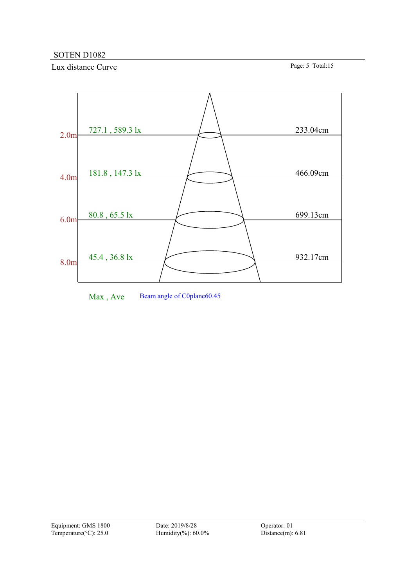Lux distance Curve Page: 5 Total:15



Max, Ave Beam angle of C0plane60.45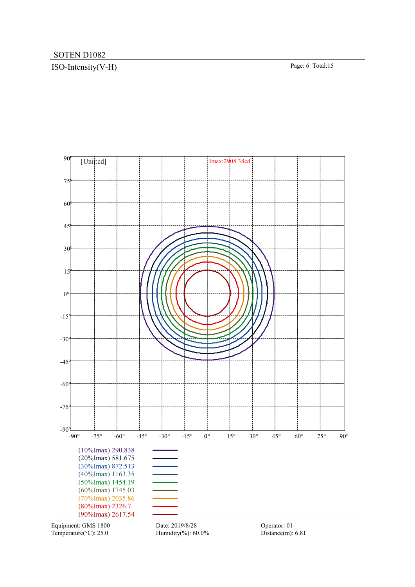# ISO-Intensity(V-H) Page: 6 Total:15



Temperature( $°C$ ): 25.0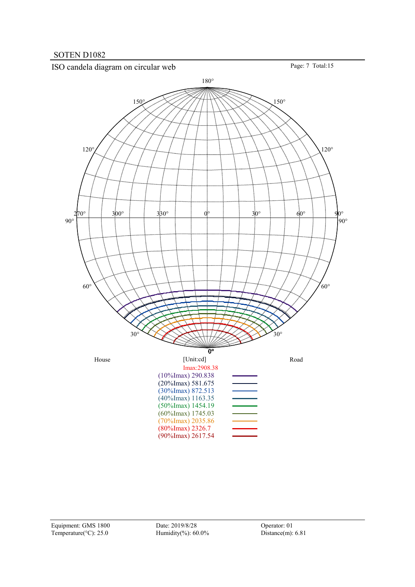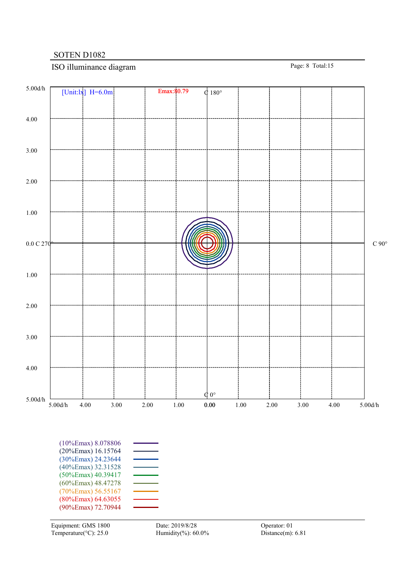# ISO illuminance diagram Page: 8 Total:15

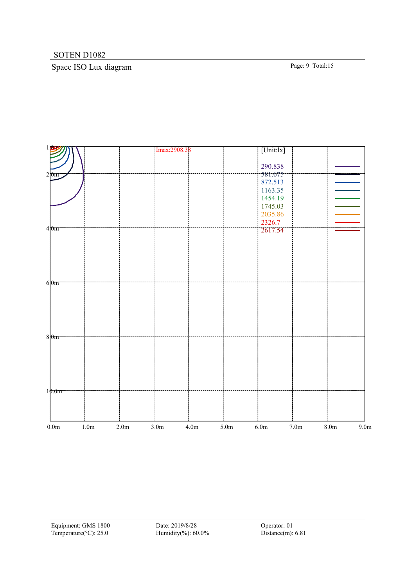# Space ISO Lux diagram Page: 9 Total:15

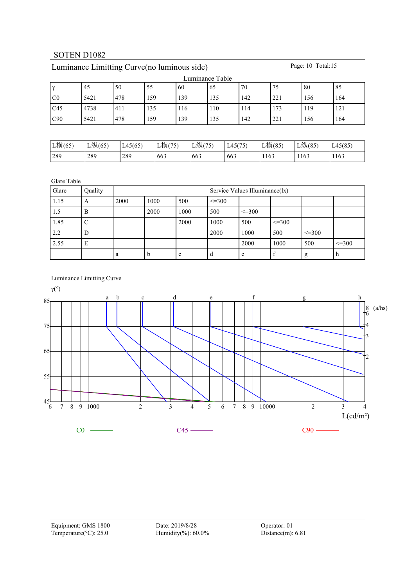| Luminance Table |      |     |     |     |     |     |     |     |     |  |  |
|-----------------|------|-----|-----|-----|-----|-----|-----|-----|-----|--|--|
| $\sim$          | 45   | 50  | 55  | 60  | 65  | 70  | 75  | 80  | 85  |  |  |
| C <sub>0</sub>  | 5421 | 478 | 159 | 139 | 135 | 142 | 221 | 156 | 164 |  |  |
| C45             | 4738 | 411 | 135 | 116 | 110 | 114 | 173 | 119 | 121 |  |  |
| C90             | 5421 | 478 | 159 | 139 | 135 | 142 | 221 | 156 | 164 |  |  |

# Luminance Limitting Curve(no luminous side) Page: 10 Total:15

| L横(65) | L纵(65) | L45(65) | L横(75) | L纵(75) | L45(75) | L横(85) | L纵(85) | L45(85) |
|--------|--------|---------|--------|--------|---------|--------|--------|---------|
| 289    | 289    | 289     | 663    | 663    | 663     | 1163   | 1163   | 1163    |

Glare Table

| Glare | Quality |      | Service Values Illuminance(lx) |      |             |              |              |              |              |  |  |
|-------|---------|------|--------------------------------|------|-------------|--------------|--------------|--------------|--------------|--|--|
| 1.15  | A       | 2000 | 1000                           | 500  | $\leq$ =300 |              |              |              |              |  |  |
| 1.5   | B       |      | 2000                           | 1000 | 500         | $\leq$ = 300 |              |              |              |  |  |
| 1.85  |         |      |                                | 2000 | 1000        | 500          | $\leq$ = 300 |              |              |  |  |
| 2.2   | D       |      |                                |      | 2000        | 1000         | 500          | $\leq$ = 300 |              |  |  |
| 2.55  | E       |      |                                |      |             | 2000         | 1000         | 500          | $\leq$ = 300 |  |  |
|       |         | a    | n                              | c    | d           | e            |              | g            | n            |  |  |

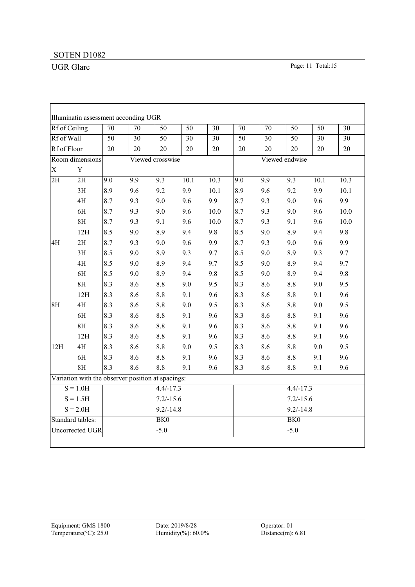|             | Rf of Ceiling                                     | $\overline{70}$  | $\overline{70}$  | $\overline{50}$  | $\overline{50}$ | $\overline{30}$   | $\overline{70}$  | $\overline{70}$  | $\overline{50}$  | $\overline{50}$ | $\overline{30}$   |  |
|-------------|---------------------------------------------------|------------------|------------------|------------------|-----------------|-------------------|------------------|------------------|------------------|-----------------|-------------------|--|
| Rf of Wall  |                                                   | $\overline{50}$  | $\overline{30}$  | $\overline{50}$  | $\overline{30}$ | $\overline{30}$   | $\overline{50}$  | $\overline{30}$  | $\overline{50}$  | $\overline{30}$ | $\overline{30}$   |  |
| Rf of Floor |                                                   | $\overline{20}$  | $\overline{20}$  | 20               | $\overline{20}$ | $\overline{20}$   | $\overline{20}$  | $\overline{20}$  | $\overline{20}$  | $\overline{20}$ | $\overline{20}$   |  |
|             | Room dimensions                                   |                  |                  | Viewed crosswise |                 |                   |                  |                  | Viewed endwise   |                 |                   |  |
| $\mathbf X$ | $\mathbf Y$                                       |                  |                  |                  |                 |                   |                  |                  |                  |                 |                   |  |
| 2H          | $\overline{2H}$                                   | $\overline{9.0}$ | $\overline{9.9}$ | $\overline{9.3}$ | 10.1            | $\overline{10.3}$ | $\overline{9.0}$ | $\overline{9.9}$ | $\overline{9.3}$ | 10.1            | $\overline{10.3}$ |  |
|             | 3H                                                | 8.9              | 9.6              | 9.2              | 9.9             | 10.1              | 8.9              | 9.6              | 9.2              | 9.9             | 10.1              |  |
|             | 4H                                                | 8.7              | 9.3              | 9.0              | 9.6             | 9.9               | 8.7              | 9.3              | 9.0              | 9.6             | 9.9               |  |
|             | 6H                                                | 8.7              | 9.3              | 9.0              | 9.6             | 10.0              | 8.7              | 9.3              | 9.0              | 9.6             | $10.0\,$          |  |
|             | 8H                                                | 8.7              | 9.3              | 9.1              | 9.6             | 10.0              | 8.7              | 9.3              | 9.1              | 9.6             | 10.0              |  |
|             | 12H                                               | 8.5              | 9.0              | 8.9              | 9.4             | 9.8               | 8.5              | 9.0              | 8.9              | 9.4             | 9.8               |  |
| 4H          | 2H                                                | 8.7              | 9.3              | 9.0              | 9.6             | 9.9               | 8.7              | 9.3              | 9.0              | 9.6             | 9.9               |  |
|             | 3H                                                | 8.5              | 9.0              | 8.9              | 9.3             | 9.7               | 8.5              | 9.0              | 8.9              | 9.3             | 9.7               |  |
|             | 4H                                                | 8.5              | 9.0              | 8.9              | 9.4             | 9.7               | 8.5              | 9.0              | 8.9              | 9.4             | 9.7               |  |
|             | $6H$                                              | 8.5              | 9.0              | 8.9              | 9.4             | 9.8               | 8.5              | 9.0              | 8.9              | 9.4             | 9.8               |  |
|             | 8H                                                | 8.3              | 8.6              | $8.8\,$          | 9.0             | 9.5               | 8.3              | 8.6              | $8.8\,$          | 9.0             | 9.5               |  |
|             | 12H                                               | 8.3              | 8.6              | $8.8\,$          | 9.1             | 9.6               | 8.3              | 8.6              | 8.8              | 9.1             | 9.6               |  |
| 8H          | 4H                                                | 8.3              | 8.6              | 8.8              | 9.0             | 9.5               | 8.3              | 8.6              | 8.8              | 9.0             | 9.5               |  |
|             | 6H                                                | 8.3              | 8.6              | 8.8              | 9.1             | 9.6               | 8.3              | 8.6              | 8.8              | 9.1             | 9.6               |  |
|             | 8H                                                | 8.3              | 8.6              | $8.8\,$          | 9.1             | 9.6               | 8.3              | 8.6              | 8.8              | 9.1             | 9.6               |  |
|             | 12H                                               | 8.3              | 8.6              | $8.8\,$          | 9.1             | 9.6               | 8.3              | 8.6              | 8.8              | 9.1             | 9.6               |  |
| 12H         | 4H                                                | 8.3              | 8.6              | $8.8\,$          | 9.0             | 9.5               | 8.3              | 8.6              | 8.8              | 9.0             | 9.5               |  |
|             | 6H                                                | 8.3              | 8.6              | $8.8\,$          | 9.1             | 9.6               | 8.3              | 8.6              | 8.8              | 9.1             | 9.6               |  |
|             | $8\mathrm{H}$                                     | 8.3              | 8.6              | 8.8              | 9.1             | 9.6               | 8.3              | 8.6              | 8.8              | 9.1             | 9.6               |  |
|             | Variation with the observer position at spacings: |                  |                  |                  |                 |                   |                  |                  |                  |                 |                   |  |
|             | $S = 1.0H$                                        |                  |                  | $4.4/-17.3$      |                 |                   |                  |                  | $4.4/-17.3$      |                 |                   |  |
|             | $S = 1.5H$                                        |                  |                  | $7.2/-15.6$      |                 |                   |                  |                  | $7.2/-15.6$      |                 |                   |  |
|             | $S = 2.0H$                                        |                  |                  | $9.2/-14.8$      |                 |                   |                  |                  | $9.2/-14.8$      |                 |                   |  |
|             | Standard tables:                                  |                  |                  | BK <sub>0</sub>  |                 |                   |                  |                  | BK <sub>0</sub>  |                 |                   |  |
|             | Uncorrected UGR                                   |                  |                  | $-5.0$           |                 |                   |                  |                  | $-5.0$           |                 |                   |  |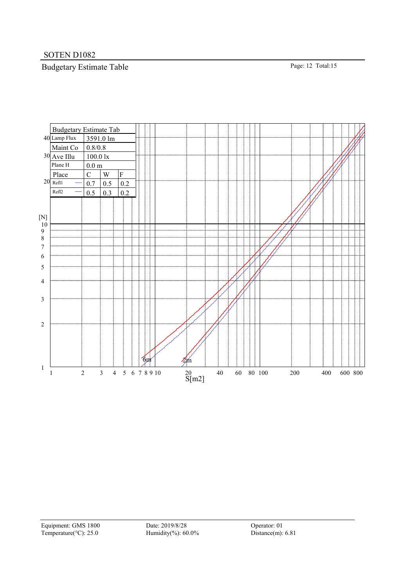# Budgetary Estimate Table Page: 12 Total:15



Equipment: GMS 1800 Date: 2019/8/28 Operator: 01<br>
Temperature(°C): 25.0 Humidity(%): 60.0% Distance(m): 6.81 Temperature( $^{\circ}$ C): 25.0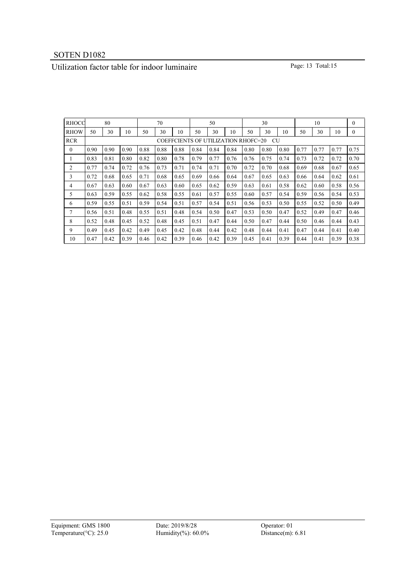# Utilization factor table for indoor luminaire Page: 13 Total:15

| <b>RHOCC</b> |                                           | 80   |      |      | 70   |      |      | 50   |      |      | 30   |      |      | 10   |      | $\mathbf{0}$ |
|--------------|-------------------------------------------|------|------|------|------|------|------|------|------|------|------|------|------|------|------|--------------|
| <b>RHOW</b>  | 50                                        | 30   | 10   | 50   | 30   | 10   | 50   | 30   | 10   | 50   | 30   | 10   | 50   | 30   | 10   | $\mathbf{0}$ |
| <b>RCR</b>   | COEFFCIENTS OF UTILIZATION RHOFC=20<br>CU |      |      |      |      |      |      |      |      |      |      |      |      |      |      |              |
| $\mathbf{0}$ | 0.90                                      | 0.90 | 0.90 | 0.88 | 0.88 | 0.88 | 0.84 | 0.84 | 0.84 | 0.80 | 0.80 | 0.80 | 0.77 | 0.77 | 0.77 | 0.75         |
| $\perp$      | 0.83                                      | 0.81 | 0.80 | 0.82 | 0.80 | 0.78 | 0.79 | 0.77 | 0.76 | 0.76 | 0.75 | 0.74 | 0.73 | 0.72 | 0.72 | 0.70         |
| 2            | 0.77                                      | 0.74 | 0.72 | 0.76 | 0.73 | 0.71 | 0.74 | 0.71 | 0.70 | 0.72 | 0.70 | 0.68 | 0.69 | 0.68 | 0.67 | 0.65         |
| 3            | 0.72                                      | 0.68 | 0.65 | 0.71 | 0.68 | 0.65 | 0.69 | 0.66 | 0.64 | 0.67 | 0.65 | 0.63 | 0.66 | 0.64 | 0.62 | 0.61         |
| 4            | 0.67                                      | 0.63 | 0.60 | 0.67 | 0.63 | 0.60 | 0.65 | 0.62 | 0.59 | 0.63 | 0.61 | 0.58 | 0.62 | 0.60 | 0.58 | 0.56         |
| 5            | 0.63                                      | 0.59 | 0.55 | 0.62 | 0.58 | 0.55 | 0.61 | 0.57 | 0.55 | 0.60 | 0.57 | 0.54 | 0.59 | 0.56 | 0.54 | 0.53         |
| 6            | 0.59                                      | 0.55 | 0.51 | 0.59 | 0.54 | 0.51 | 0.57 | 0.54 | 0.51 | 0.56 | 0.53 | 0.50 | 0.55 | 0.52 | 0.50 | 0.49         |
| 7            | 0.56                                      | 0.51 | 0.48 | 0.55 | 0.51 | 0.48 | 0.54 | 0.50 | 0.47 | 0.53 | 0.50 | 0.47 | 0.52 | 0.49 | 0.47 | 0.46         |
| 8            | 0.52                                      | 0.48 | 0.45 | 0.52 | 0.48 | 0.45 | 0.51 | 0.47 | 0.44 | 0.50 | 0.47 | 0.44 | 0.50 | 0.46 | 0.44 | 0.43         |
| 9            | 0.49                                      | 0.45 | 0.42 | 0.49 | 0.45 | 0.42 | 0.48 | 0.44 | 0.42 | 0.48 | 0.44 | 0.41 | 0.47 | 0.44 | 0.41 | 0.40         |
| 10           | 0.47                                      | 0.42 | 0.39 | 0.46 | 0.42 | 0.39 | 0.46 | 0.42 | 0.39 | 0.45 | 0.41 | 0.39 | 0.44 | 0.41 | 0.39 | 0.38         |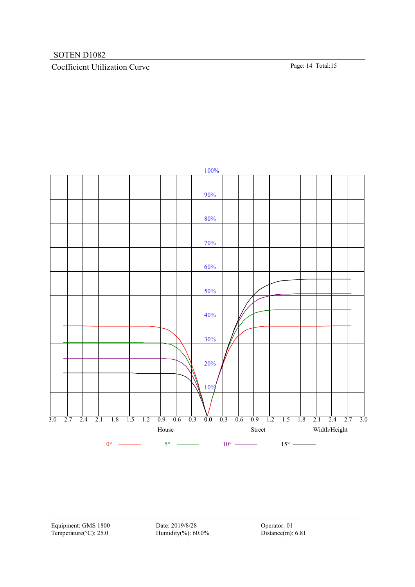# Coefficient Utilization Curve Page: 14 Total:15



Equipment: GMS 1800 Date: 2019/8/28 Operator: 01 Temperature(°C): 25.0 Humidity(%): 60.0% Distance(m): 6.81